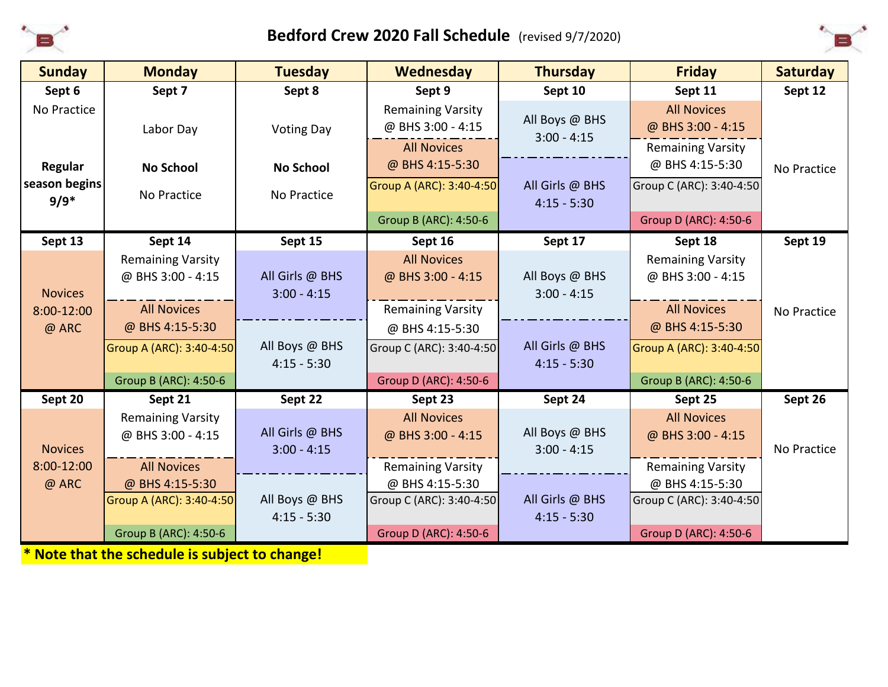

## **Bedford Crew 2020 Fall Schedule** (revised 9/7/2020)



| <b>Sunday</b>  | <b>Monday</b>            | <b>Tuesday</b>                   | Wednesday                    | <b>Thursday</b>                 | <b>Friday</b>            | <b>Saturday</b> |
|----------------|--------------------------|----------------------------------|------------------------------|---------------------------------|--------------------------|-----------------|
| Sept 6         | Sept 7                   | Sept 8                           | Sept 9                       | Sept 10                         | Sept 11                  | Sept 12         |
| No Practice    |                          |                                  | <b>Remaining Varsity</b>     |                                 | <b>All Novices</b>       |                 |
|                | Labor Day                | <b>Voting Day</b>                | @ BHS 3:00 - 4:15            | All Boys @ BHS<br>$3:00 - 4:15$ | @ BHS 3:00 - 4:15        |                 |
|                |                          |                                  | <b>All Novices</b>           |                                 | <b>Remaining Varsity</b> |                 |
| Regular        | <b>No School</b>         | <b>No School</b>                 | @ BHS 4:15-5:30              |                                 | @ BHS 4:15-5:30          | No Practice     |
| season begins  | No Practice              | No Practice                      | Group A (ARC): 3:40-4:50     | All Girls @ BHS                 | Group C (ARC): 3:40-4:50 |                 |
| $9/9*$         |                          |                                  |                              | $4:15 - 5:30$                   |                          |                 |
|                |                          |                                  | Group B (ARC): 4:50-6        |                                 | Group D (ARC): 4:50-6    |                 |
| Sept 13        | Sept 14                  | Sept 15                          | Sept 16                      | Sept 17                         | Sept 18                  | Sept 19         |
|                | <b>Remaining Varsity</b> |                                  | <b>All Novices</b>           |                                 | <b>Remaining Varsity</b> |                 |
|                | @ BHS 3:00 - 4:15        | All Girls @ BHS                  | @ BHS 3:00 - 4:15            | All Boys @ BHS                  | @ BHS 3:00 - 4:15        |                 |
| <b>Novices</b> |                          | $3:00 - 4:15$                    |                              | $3:00 - 4:15$                   |                          |                 |
| 8:00-12:00     | <b>All Novices</b>       |                                  | <b>Remaining Varsity</b>     |                                 | <b>All Novices</b>       | No Practice     |
| @ ARC          | @ BHS 4:15-5:30          |                                  | @ BHS 4:15-5:30              |                                 | @ BHS 4:15-5:30          |                 |
|                | Group A (ARC): 3:40-4:50 | All Boys @ BHS                   | Group C (ARC): 3:40-4:50     | All Girls @ BHS                 | Group A (ARC): 3:40-4:50 |                 |
|                |                          | $4:15 - 5:30$                    |                              | $4:15 - 5:30$                   |                          |                 |
|                | Group B (ARC): 4:50-6    |                                  | <b>Group D (ARC): 4:50-6</b> |                                 | Group B (ARC): 4:50-6    |                 |
| Sept 20        | Sept 21                  | Sept 22                          | Sept 23                      | Sept 24                         | Sept 25                  | Sept 26         |
|                | <b>Remaining Varsity</b> |                                  | <b>All Novices</b>           |                                 | <b>All Novices</b>       |                 |
| <b>Novices</b> | @ BHS 3:00 - 4:15        | All Girls @ BHS<br>$3:00 - 4:15$ | @ BHS 3:00 - 4:15            | All Boys @ BHS<br>$3:00 - 4:15$ | @ BHS 3:00 - 4:15        | No Practice     |
| 8:00-12:00     | <b>All Novices</b>       |                                  | <b>Remaining Varsity</b>     |                                 | <b>Remaining Varsity</b> |                 |
| @ ARC          | @ BHS 4:15-5:30          |                                  | @ BHS 4:15-5:30              |                                 | @ BHS 4:15-5:30          |                 |
|                | Group A (ARC): 3:40-4:50 | All Boys @ BHS                   | Group C (ARC): 3:40-4:50     | All Girls @ BHS                 | Group C (ARC): 3:40-4:50 |                 |
|                |                          | $4:15 - 5:30$                    |                              | $4:15 - 5:30$                   |                          |                 |
|                | Group B (ARC): 4:50-6    |                                  | Group D (ARC): 4:50-6        |                                 | Group D (ARC): 4:50-6    |                 |

**\* Note that the schedule is subject to change!**